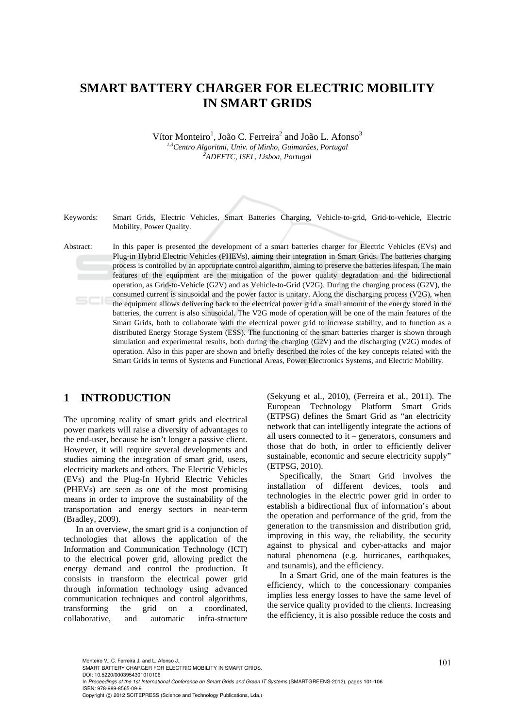## **SMART BATTERY CHARGER FOR ELECTRIC MOBILITY IN SMART GRIDS**

Vítor Monteiro<sup>1</sup>, João C. Ferreira<sup>2</sup> and João L. Afonso<sup>3</sup> *1,3Centro Algoritmi, Univ. of Minho, Guimarães, Portugal 2 ADEETC, ISEL, Lisboa, Portugal* 

Keywords: Smart Grids, Electric Vehicles, Smart Batteries Charging, Vehicle-to-grid, Grid-to-vehicle, Electric Mobility, Power Quality.

Abstract: In this paper is presented the development of a smart batteries charger for Electric Vehicles (EVs) and Plug-in Hybrid Electric Vehicles (PHEVs), aiming their integration in Smart Grids. The batteries charging process is controlled by an appropriate control algorithm, aiming to preserve the batteries lifespan. The main features of the equipment are the mitigation of the power quality degradation and the bidirectional operation, as Grid-to-Vehicle (G2V) and as Vehicle-to-Grid (V2G). During the charging process (G2V), the consumed current is sinusoidal and the power factor is unitary. Along the discharging process (V2G), when the equipment allows delivering back to the electrical power grid a small amount of the energy stored in the batteries, the current is also sinusoidal. The V2G mode of operation will be one of the main features of the Smart Grids, both to collaborate with the electrical power grid to increase stability, and to function as a distributed Energy Storage System (ESS). The functioning of the smart batteries charger is shown through simulation and experimental results, both during the charging (G2V) and the discharging (V2G) modes of operation. Also in this paper are shown and briefly described the roles of the key concepts related with the Smart Grids in terms of Systems and Functional Areas, Power Electronics Systems, and Electric Mobility.

### **1 INTRODUCTION**

The upcoming reality of smart grids and electrical power markets will raise a diversity of advantages to the end-user, because he isn't longer a passive client. However, it will require several developments and studies aiming the integration of smart grid, users, electricity markets and others. The Electric Vehicles (EVs) and the Plug-In Hybrid Electric Vehicles (PHEVs) are seen as one of the most promising means in order to improve the sustainability of the transportation and energy sectors in near-term (Bradley, 2009).

In an overview, the smart grid is a conjunction of technologies that allows the application of the Information and Communication Technology (ICT) to the electrical power grid, allowing predict the energy demand and control the production. It consists in transform the electrical power grid through information technology using advanced communication techniques and control algorithms, transforming the grid on a coordinated, collaborative, and automatic infra-structure (Sekyung et al., 2010), (Ferreira et al., 2011). The European Technology Platform Smart Grids (ETPSG) defines the Smart Grid as "an electricity network that can intelligently integrate the actions of all users connected to it – generators, consumers and those that do both, in order to efficiently deliver sustainable, economic and secure electricity supply" (ETPSG, 2010).

Specifically, the Smart Grid involves the installation of different devices, tools and technologies in the electric power grid in order to establish a bidirectional flux of information's about the operation and performance of the grid, from the generation to the transmission and distribution grid, improving in this way, the reliability, the security against to physical and cyber-attacks and major natural phenomena (e.g. hurricanes, earthquakes, and tsunamis), and the efficiency.

In a Smart Grid, one of the main features is the efficiency, which to the concessionary companies implies less energy losses to have the same level of the service quality provided to the clients. Increasing the efficiency, it is also possible reduce the costs and

DOI: 10.5220/0003954301010106 In *Proceedings of the 1st International Conference on Smart Grids and Green IT Systems* (SMARTGREENS-2012), pages 101-106 ISBN: 978-989-8565-09-9

<sup>101</sup> Monteiro V., C. Ferreira J. and L. Afonso J.. SMART BATTERY CHARGER FOR ELECTRIC MOBILITY IN SMART GRIDS.

Copyright © 2012 SCITEPRESS (Science and Technology Publications, Lda.)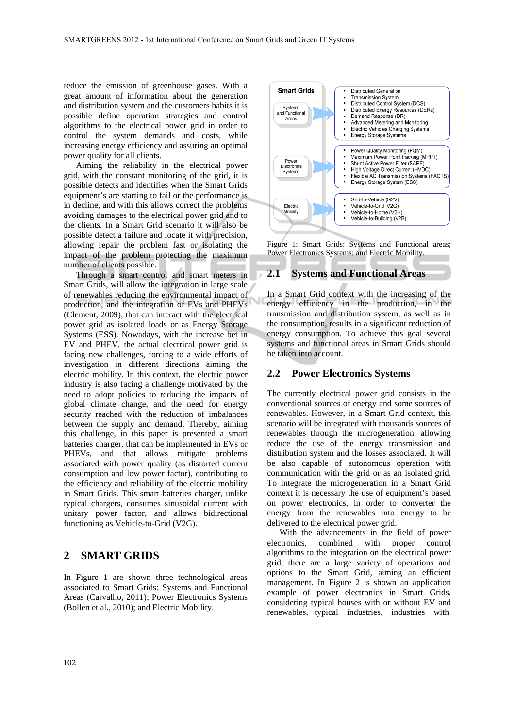reduce the emission of greenhouse gases. With a great amount of information about the generation and distribution system and the customers habits it is possible define operation strategies and control algorithms to the electrical power grid in order to control the system demands and costs, while increasing energy efficiency and assuring an optimal power quality for all clients.

Aiming the reliability in the electrical power grid, with the constant monitoring of the grid, it is possible detects and identifies when the Smart Grids equipment's are starting to fail or the performance is in decline, and with this allows correct the problems avoiding damages to the electrical power grid and to the clients. In a Smart Grid scenario it will also be possible detect a failure and locate it with precision, allowing repair the problem fast or isolating the impact of the problem protecting the maximum number of clients possible.

Through a smart control and smart meters in Smart Grids, will allow the integration in large scale of renewables reducing the environmental impact of production, and the integration of EVs and PHEVs (Clement, 2009), that can interact with the electrical power grid as isolated loads or as Energy Storage Systems (ESS). Nowadays, with the increase bet in EV and PHEV, the actual electrical power grid is facing new challenges, forcing to a wide efforts of investigation in different directions aiming the electric mobility. In this context, the electric power industry is also facing a challenge motivated by the need to adopt policies to reducing the impacts of global climate change, and the need for energy security reached with the reduction of imbalances between the supply and demand. Thereby, aiming this challenge, in this paper is presented a smart batteries charger, that can be implemented in EVs or PHEVs, and that allows mitigate problems associated with power quality (as distorted current consumption and low power factor), contributing to the efficiency and reliability of the electric mobility in Smart Grids. This smart batteries charger, unlike typical chargers, consumes sinusoidal current with unitary power factor, and allows bidirectional functioning as Vehicle-to-Grid (V2G).

#### **2 SMART GRIDS**

In Figure 1 are shown three technological areas associated to Smart Grids: Systems and Functional Areas (Carvalho, 2011); Power Electronics Systems (Bollen et al., 2010); and Electric Mobility.



Figure 1: Smart Grids: Systems and Functional areas; Power Electronics Systems; and Electric Mobility.

#### **2.1 Systems and Functional Areas**

In a Smart Grid context with the increasing of the energy efficiency in the production, in the transmission and distribution system, as well as in the consumption, results in a significant reduction of energy consumption. To achieve this goal several systems and functional areas in Smart Grids should be taken into account.

#### **2.2 Power Electronics Systems**

The currently electrical power grid consists in the conventional sources of energy and some sources of renewables. However, in a Smart Grid context, this scenario will be integrated with thousands sources of renewables through the microgeneration, allowing reduce the use of the energy transmission and distribution system and the losses associated. It will be also capable of autonomous operation with communication with the grid or as an isolated grid. To integrate the microgeneration in a Smart Grid context it is necessary the use of equipment's based on power electronics, in order to converter the energy from the renewables into energy to be delivered to the electrical power grid.

With the advancements in the field of power electronics, combined with proper control algorithms to the integration on the electrical power grid, there are a large variety of operations and options to the Smart Grid, aiming an efficient management. In Figure 2 is shown an application example of power electronics in Smart Grids, considering typical houses with or without EV and renewables, typical industries, industries with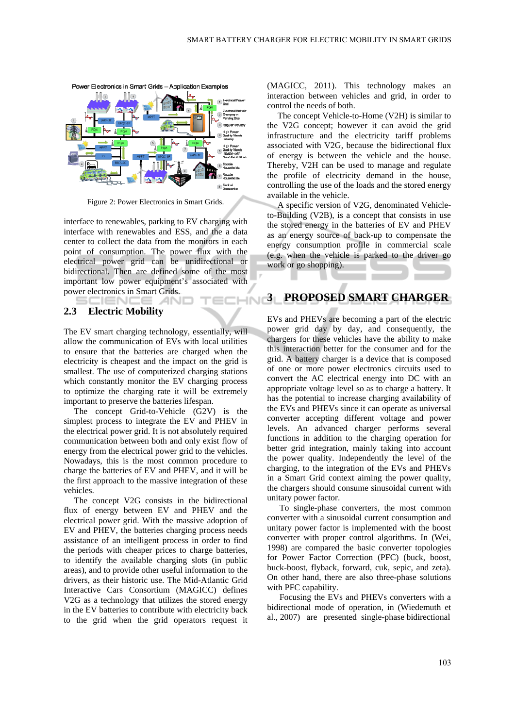

Figure 2: Power Electronics in Smart Grids.

interface to renewables, parking to EV charging with interface with renewables and ESS, and the a data center to collect the data from the monitors in each point of consumption. The power flux with the electrical power grid can be unidirectional or bidirectional. Then are defined some of the most important low power equipment's associated with power electronics in Smart Grids.

## **2.3 Electric Mobility**

SCIENCE *A*NI

The EV smart charging technology, essentially, will allow the communication of EVs with local utilities to ensure that the batteries are charged when the electricity is cheapest and the impact on the grid is smallest. The use of computerized charging stations which constantly monitor the EV charging process to optimize the charging rate it will be extremely important to preserve the batteries lifespan.

The concept Grid-to-Vehicle (G2V) is the simplest process to integrate the EV and PHEV in the electrical power grid. It is not absolutely required communication between both and only exist flow of energy from the electrical power grid to the vehicles. Nowadays, this is the most common procedure to charge the batteries of EV and PHEV, and it will be the first approach to the massive integration of these vehicles.

The concept V2G consists in the bidirectional flux of energy between EV and PHEV and the electrical power grid. With the massive adoption of EV and PHEV, the batteries charging process needs assistance of an intelligent process in order to find the periods with cheaper prices to charge batteries, to identify the available charging slots (in public areas), and to provide other useful information to the drivers, as their historic use. The Mid-Atlantic Grid Interactive Cars Consortium (MAGICC) defines V2G as a technology that utilizes the stored energy in the EV batteries to contribute with electricity back to the grid when the grid operators request it

(MAGICC, 2011). This technology makes an interaction between vehicles and grid, in order to control the needs of both.

The concept Vehicle-to-Home (V2H) is similar to the V2G concept; however it can avoid the grid infrastructure and the electricity tariff problems associated with V2G, because the bidirectional flux of energy is between the vehicle and the house. Thereby, V2H can be used to manage and regulate the profile of electricity demand in the house, controlling the use of the loads and the stored energy available in the vehicle.

A specific version of V2G, denominated Vehicleto-Building (V2B), is a concept that consists in use the stored energy in the batteries of EV and PHEV as an energy source of back-up to compensate the energy consumption profile in commercial scale (e.g. when the vehicle is parked to the driver go work or go shopping).

# **ECHIN 3 PROPOSED SMART CHARGER**

EVs and PHEVs are becoming a part of the electric power grid day by day, and consequently, the chargers for these vehicles have the ability to make this interaction better for the consumer and for the grid. A battery charger is a device that is composed of one or more power electronics circuits used to convert the AC electrical energy into DC with an appropriate voltage level so as to charge a battery. It has the potential to increase charging availability of the EVs and PHEVs since it can operate as universal converter accepting different voltage and power levels. An advanced charger performs several functions in addition to the charging operation for better grid integration, mainly taking into account the power quality. Independently the level of the charging, to the integration of the EVs and PHEVs in a Smart Grid context aiming the power quality, the chargers should consume sinusoidal current with unitary power factor.

To single-phase converters, the most common converter with a sinusoidal current consumption and unitary power factor is implemented with the boost converter with proper control algorithms. In (Wei, 1998) are compared the basic converter topologies for Power Factor Correction (PFC) (buck, boost, buck-boost, flyback, forward, cuk, sepic, and zeta). On other hand, there are also three-phase solutions with PFC capability.

Focusing the EVs and PHEVs converters with a bidirectional mode of operation, in (Wiedemuth et al., 2007) are presented single-phase bidirectional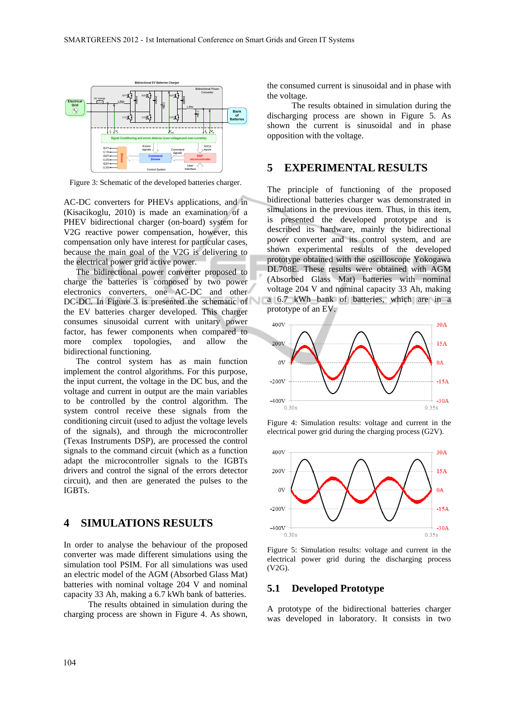

Figure 3: Schematic of the developed batteries charger.

AC-DC converters for PHEVs applications, and in (Kisacikoglu, 2010) is made an examination of a PHEV bidirectional charger (on-board) system for V2G reactive power compensation, however, this compensation only have interest for particular cases, because the main goal of the V2G is delivering to the electrical power grid active power.

The bidirectional power converter proposed to charge the batteries is composed by two power electronics converters, one AC-DC and other DC-DC. In Figure 3 is presented the schematic of the EV batteries charger developed. This charger consumes sinusoidal current with unitary power factor, has fewer components when compared to more complex topologies, and allow the bidirectional functioning.

The control system has as main function implement the control algorithms. For this purpose, the input current, the voltage in the DC bus, and the voltage and current in output are the main variables to be controlled by the control algorithm. The system control receive these signals from the conditioning circuit (used to adjust the voltage levels of the signals), and through the microcontroller (Texas Instruments DSP), are processed the control signals to the command circuit (which as a function adapt the microcontroller signals to the IGBTs drivers and control the signal of the errors detector circuit), and then are generated the pulses to the IGBTs.

#### **4 SIMULATIONS RESULTS**

In order to analyse the behaviour of the proposed converter was made different simulations using the simulation tool PSIM. For all simulations was used an electric model of the AGM (Absorbed Glass Mat) batteries with nominal voltage 204 V and nominal capacity 33 Ah, making a 6.7 kWh bank of batteries.

The results obtained in simulation during the charging process are shown in Figure 4. As shown, the consumed current is sinusoidal and in phase with the voltage.

The results obtained in simulation during the discharging process are shown in Figure 5. As shown the current is sinusoidal and in phase opposition with the voltage.

#### **5 EXPERIMENTAL RESULTS**

The principle of functioning of the proposed bidirectional batteries charger was demonstrated in simulations in the previous item. Thus, in this item, is presented the developed prototype and is described its hardware, mainly the bidirectional power converter and its control system, and are shown experimental results of the developed prototype obtained with the oscilloscope Yokogawa DL708E. These results were obtained with AGM (Absorbed Glass Mat) batteries with nominal voltage 204 V and nominal capacity 33 Ah, making a 6.7 kWh bank of batteries, which are in a prototype of an EV.



Figure 4: Simulation results: voltage and current in the electrical power grid during the charging process (G2V).



Figure 5: Simulation results: voltage and current in the electrical power grid during the discharging process (V2G).

#### **5.1 Developed Prototype**

A prototype of the bidirectional batteries charger was developed in laboratory. It consists in two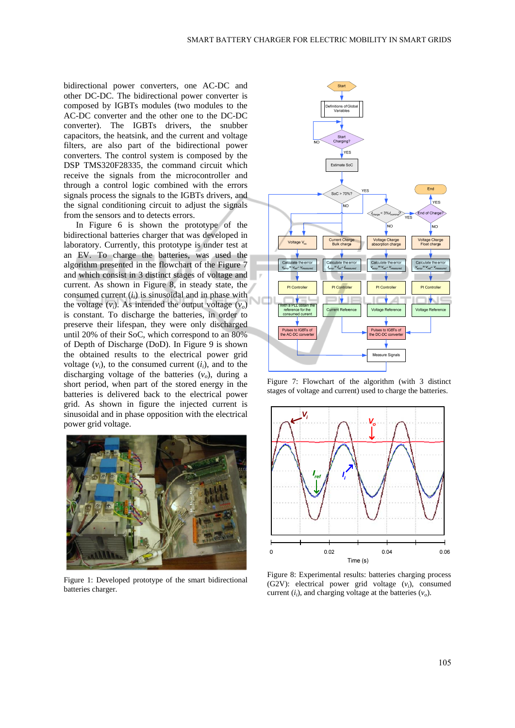bidirectional power converters, one AC-DC and other DC-DC. The bidirectional power converter is composed by IGBTs modules (two modules to the AC-DC converter and the other one to the DC-DC converter). The IGBTs drivers, the snubber capacitors, the heatsink, and the current and voltage filters, are also part of the bidirectional power converters. The control system is composed by the DSP TMS320F28335, the command circuit which receive the signals from the microcontroller and through a control logic combined with the errors signals process the signals to the IGBTs drivers, and the signal conditioning circuit to adjust the signals from the sensors and to detects errors.

In Figure 6 is shown the prototype of the bidirectional batteries charger that was developed in laboratory. Currently, this prototype is under test at an EV. To charge the batteries, was used the algorithm presented in the flowchart of the Figure 7 and which consist in 3 distinct stages of voltage and current. As shown in Figure 8, in steady state, the consumed current  $(i<sub>i</sub>)$  is sinusoidal and in phase with the voltage  $(v_i)$ . As intended the output voltage  $(v_o)$ is constant. To discharge the batteries, in order to preserve their lifespan, they were only discharged until 20% of their SoC, which correspond to an 80% of Depth of Discharge (DoD). In Figure 9 is shown the obtained results to the electrical power grid voltage  $(v_i)$ , to the consumed current  $(i_i)$ , and to the discharging voltage of the batteries  $(v<sub>o</sub>)$ , during a short period, when part of the stored energy in the batteries is delivered back to the electrical power grid. As shown in figure the injected current is sinusoidal and in phase opposition with the electrical power grid voltage.



Figure 1: Developed prototype of the smart bidirectional batteries charger.



Figure 7: Flowchart of the algorithm (with 3 distinct stages of voltage and current) used to charge the batteries.



Figure 8: Experimental results: batteries charging process (G2V): electrical power grid voltage (*vi*), consumed current  $(i<sub>i</sub>)$ , and charging voltage at the batteries  $(v<sub>o</sub>)$ .